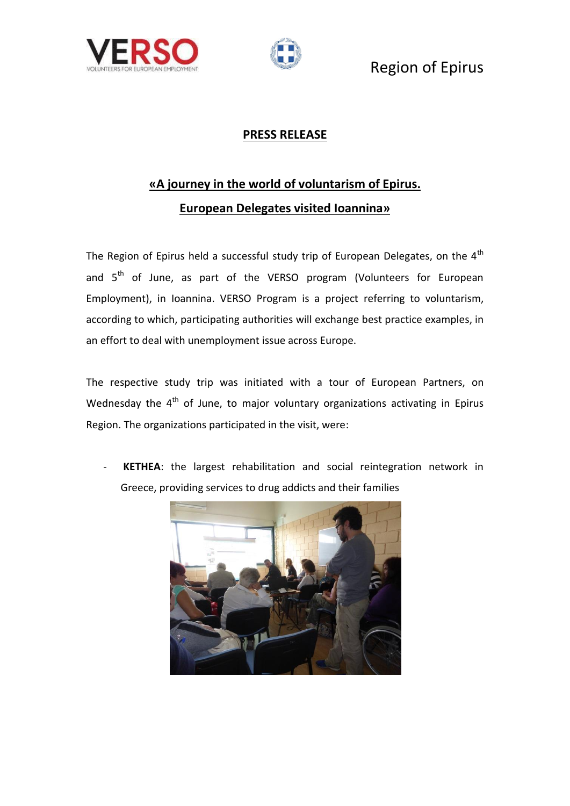



#### **PRESS RELEASE**

# **«A journey in the world of voluntarism of Epirus. European Delegates visited Ioannina»**

The Region of Epirus held a successful study trip of European Delegates, on the  $4<sup>th</sup>$ and  $5<sup>th</sup>$  of June, as part of the VERSO program (Volunteers for European Employment), in Ioannina. VERSO Program is a project referring to voluntarism, according to which, participating authorities will exchange best practice examples, in an effort to deal with unemployment issue across Europe.

The respective study trip was initiated with a tour of European Partners, on Wednesday the  $4<sup>th</sup>$  of June, to major voluntary organizations activating in Epirus Region. The organizations participated in the visit, were:

- **KETHEA**: the largest rehabilitation and social reintegration network in Greece, providing services to drug addicts and their families

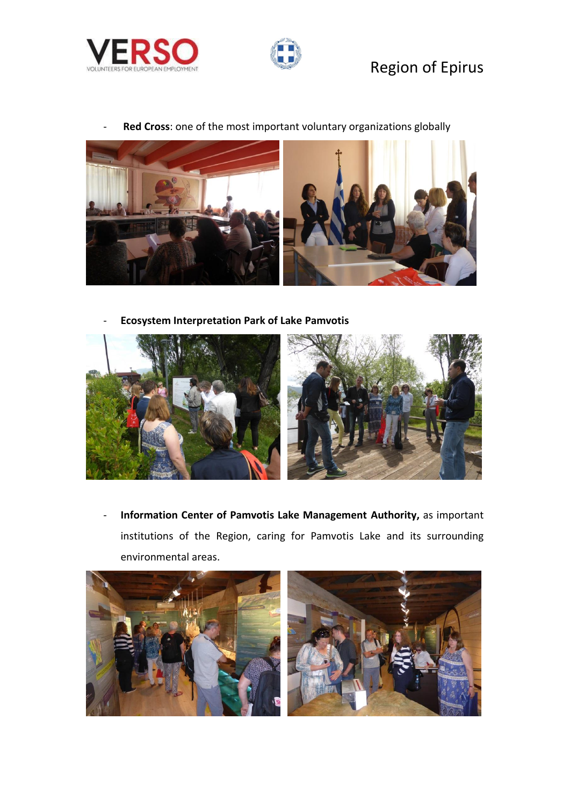



Red Cross: one of the most important voluntary organizations globally



- **Ecosystem Interpretation Park of Lake Pamvotis**



- **Information Center of Pamvotis Lake Management Authority,** as important institutions of the Region, caring for Pamvotis Lake and its surrounding environmental areas.

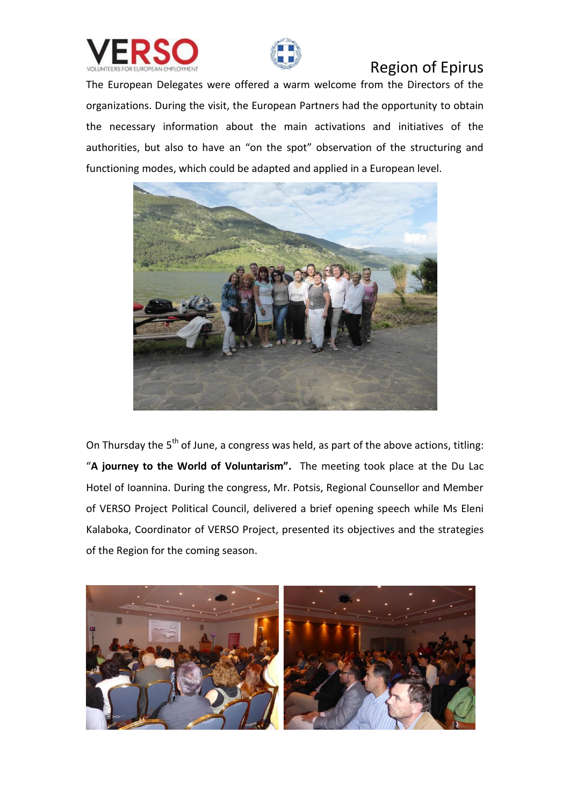



The European Delegates were offered a warm welcome from the Directors of the organizations. During the visit, the European Partners had the opportunity to obtain the necessary information about the main activations and initiatives of the authorities, but also to have an "on the spot" observation of the structuring and functioning modes, which could be adapted and applied in a European level.



On Thursday the  $5<sup>th</sup>$  of June, a congress was held, as part of the above actions, titling: "**A journey to the World of Voluntarism".** The meeting took place at the Du Lac Hotel of Ioannina. During the congress, Mr. Potsis, Regional Counsellor and Member of VERSO Project Political Council, delivered a brief opening speech while Ms Eleni Kalaboka, Coordinator of VERSO Project, presented its objectives and the strategies of the Region for the coming season.

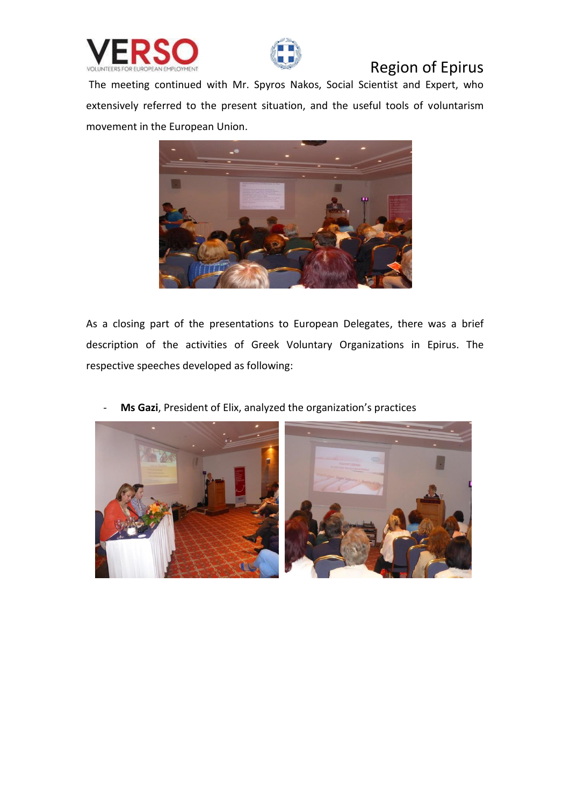



The meeting continued with Mr. Spyros Nakos, Social Scientist and Expert, who extensively referred to the present situation, and the useful tools of voluntarism movement in the European Union.



As a closing part of the presentations to European Delegates, there was a brief description of the activities of Greek Voluntary Organizations in Epirus. The respective speeches developed as following:

Ms Gazi, President of Elix, analyzed the organization's practices